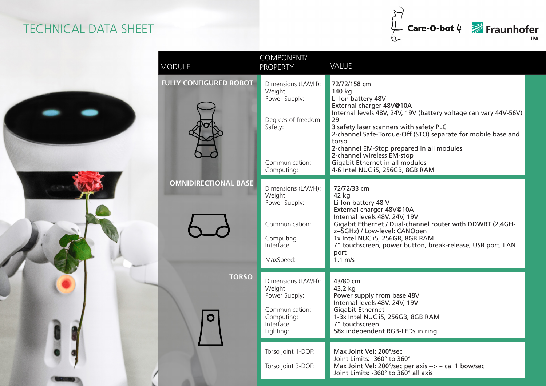## TECHNICAL DATA SHEET



| <b>MODULE</b>                 | COMPONENT/<br><b>PROPERTY</b>                                                                                     | <b>VALUE</b>                                                                                                                                                                                                                                                                                                                                                                                                             |
|-------------------------------|-------------------------------------------------------------------------------------------------------------------|--------------------------------------------------------------------------------------------------------------------------------------------------------------------------------------------------------------------------------------------------------------------------------------------------------------------------------------------------------------------------------------------------------------------------|
| <b>FULLY CONFIGURED ROBOT</b> | Dimensions (L/W/H):<br>Weight:<br>Power Supply:<br>Degrees of freedom:<br>Safety:<br>Communication:<br>Computing: | 72/72/158 cm<br>140 kg<br>Li-Ion battery 48V<br>External charger 48V@10A<br>Internal levels 48V, 24V, 19V (battery voltage can vary 44V-56V)<br>29<br>3 safety laser scanners with safety PLC<br>2-channel Safe-Torque-Off (STO) separate for mobile base and<br>torso<br>2-channel EM-Stop prepared in all modules<br>2-channel wireless EM-stop<br>Gigabit Ethernet in all modules<br>4-6 Intel NUC i5, 256GB, 8GB RAM |
| <b>OMNIDIRECTIONAL BASE</b>   | Dimensions (L/W/H):<br>Weight:<br>Power Supply:<br>Communication:<br>Computing<br>Interface:<br>MaxSpeed:         | 72/72/33 cm<br>42 kg<br>Li-Ion battery 48 V<br>External charger 48V@10A<br>Internal levels 48V, 24V, 19V<br>Gigabit Ethernet / Dual-channel router with DDWRT (2,4GH-<br>z+5GHz) / Low-level: CANOpen<br>1x Intel NUC i5, 256GB, 8GB RAM<br>7" touchscreen, power button, break-release, USB port, LAN<br>port<br>$1.1 \text{ m/s}$                                                                                      |
| <b>TORSO</b><br>O             | Dimensions (L/W/H):<br>Weight:<br>Power Supply:<br>Communication:<br>Computing:<br>Interface:<br>Lighting:        | 43/80 cm<br>43,2 kg<br>Power supply from base 48V<br>Internal levels 48V, 24V, 19V<br>Gigabit-Ethernet<br>1-3x Intel NUC i5, 256GB, 8GB RAM<br>7" touchscreen<br>58x independent RGB-LEDs in ring                                                                                                                                                                                                                        |
|                               | Torso joint 1-DOF:<br>Torso joint 3-DOF:                                                                          | Max Joint Vel: 200°/sec<br>Joint Limits: -360° to 360°<br>Max Joint Vel: 200°/sec per axis --> ~ ca. 1 bow/sec<br>Joint Limits: -360° to 360° all axis                                                                                                                                                                                                                                                                   |